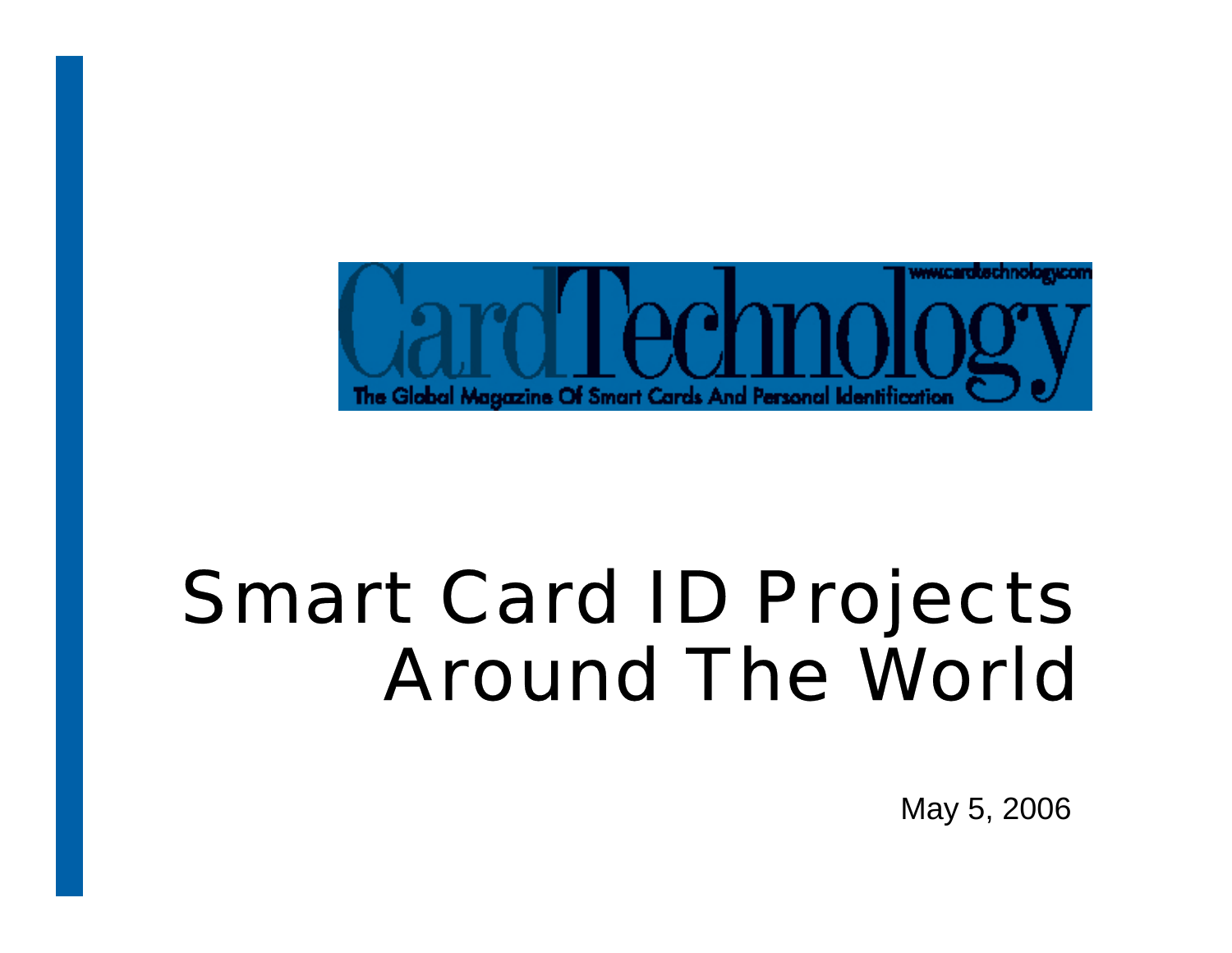

## Smart Card ID Projects Around The World

May 5, 2006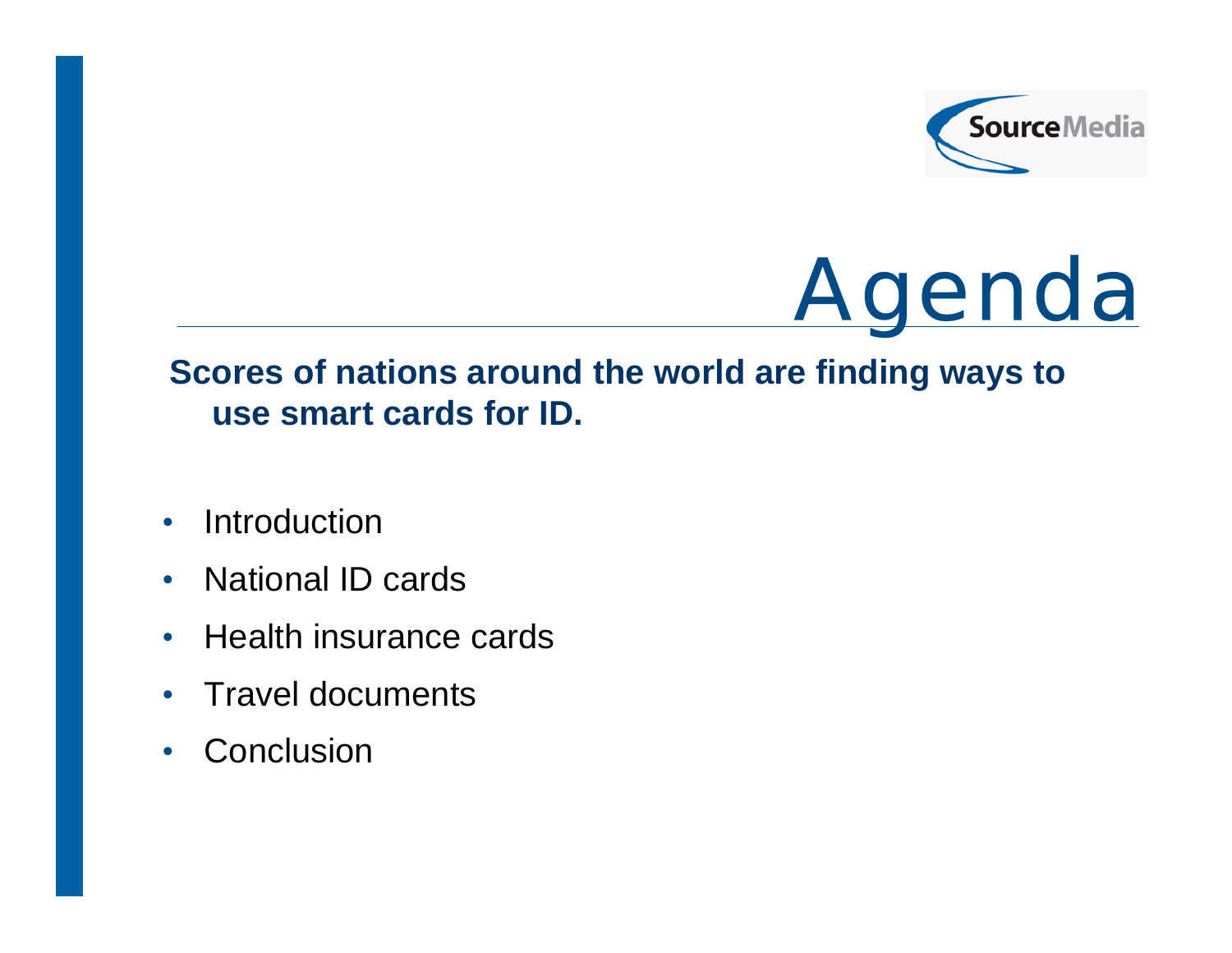



### **Scores of nations around the world are finding ways to use smart cards for ID.**

- •**Introduction**
- •National ID cards
- $\bullet$ Health insurance cards
- $\bullet$ Travel documents
- •**Conclusion**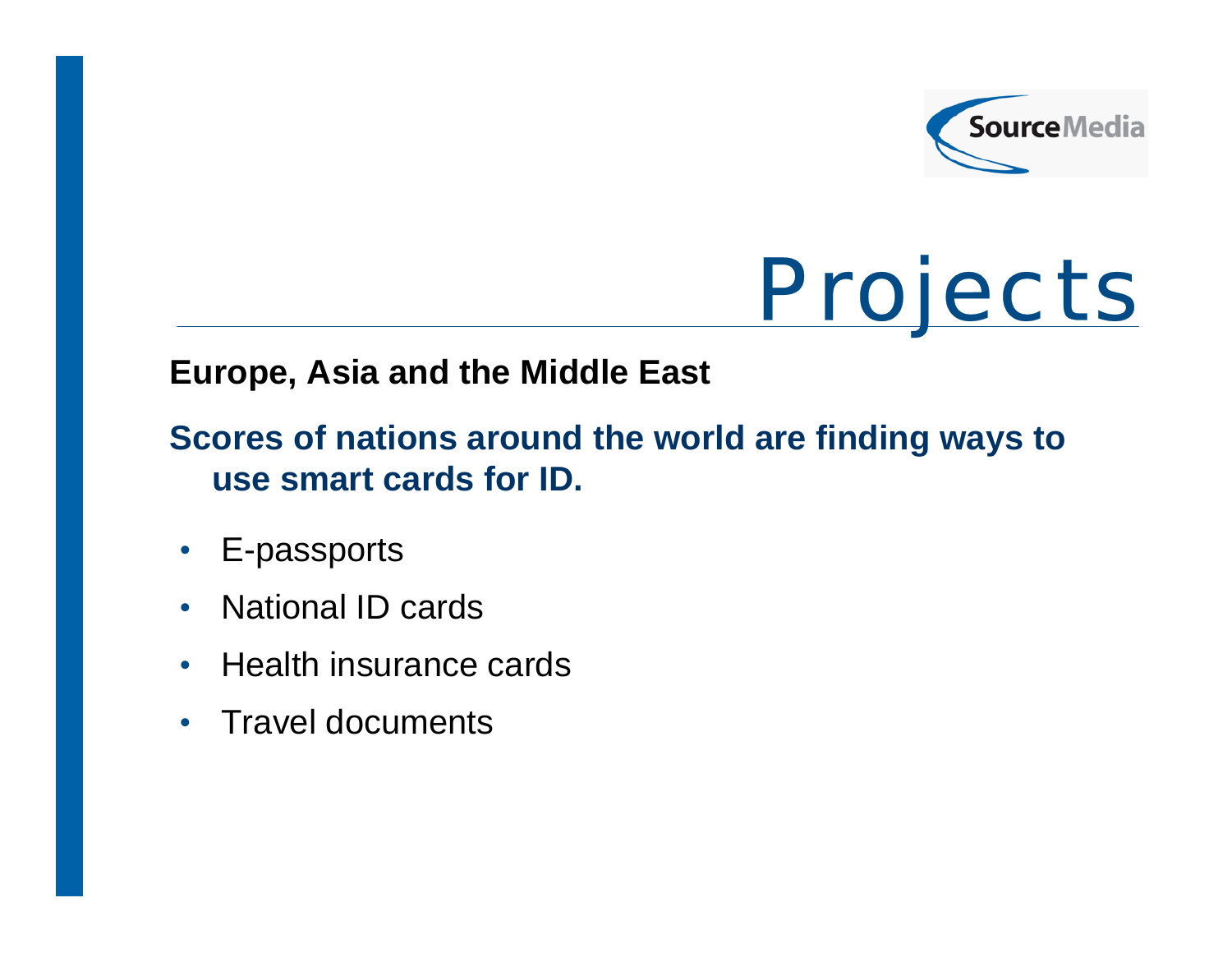

# **Projects**

### **Europe, Asia and the Middle East**

## **Scores of nations around the world are finding ways to use smart cards for ID.**

- $\bullet$ E-passports
- $\bullet$ National ID cards
- $\bullet$ Health insurance cards
- •Travel documents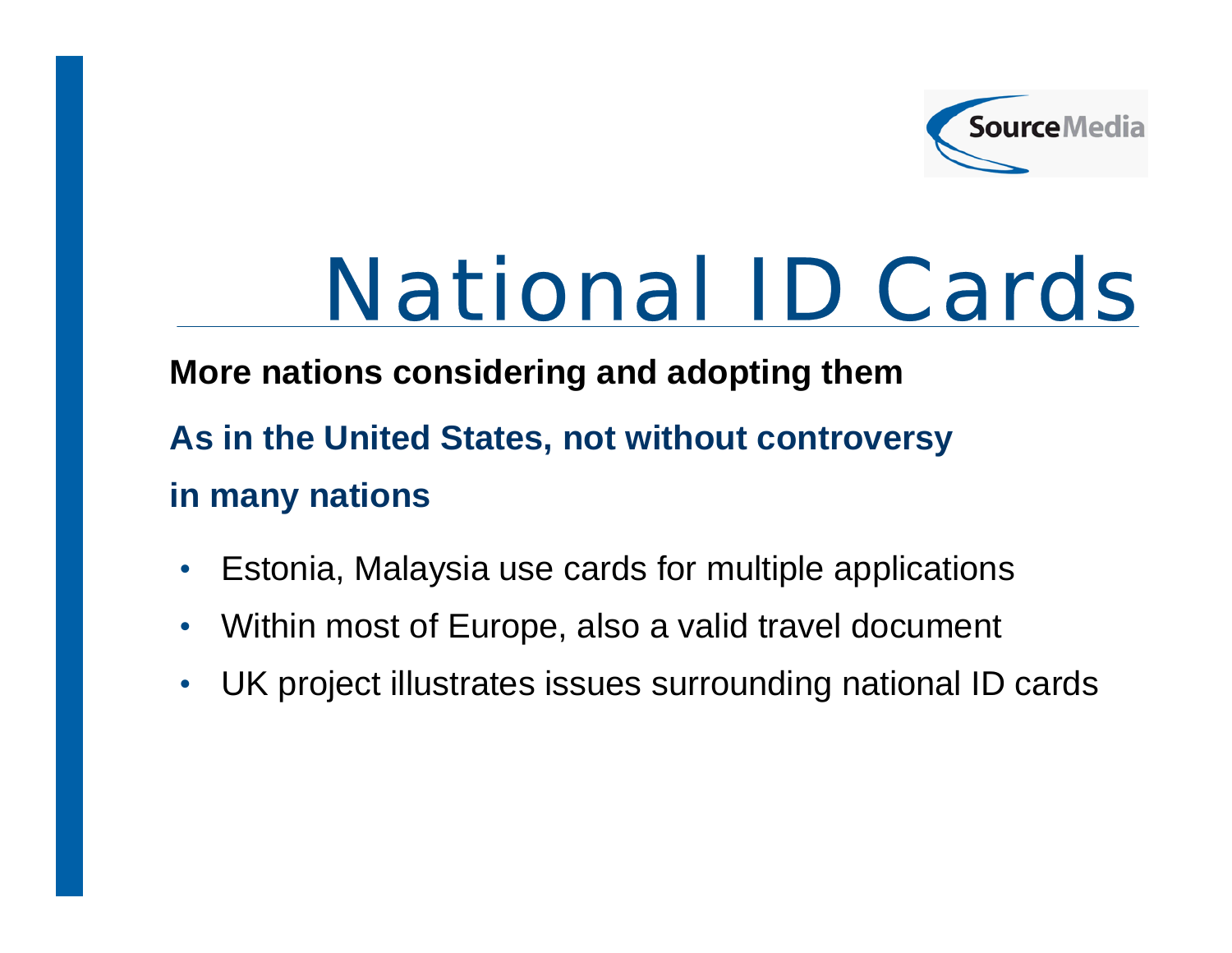

## National ID Cards

### **More nations considering and adopting them**

- **As in the United States, not without controversy in many nations**
- $\bullet$ Estonia, Malaysia use cards for multiple applications
- $\bullet$ Within most of Europe, also a valid travel document
- $\bullet$ UK project illustrates issues surrounding national ID cards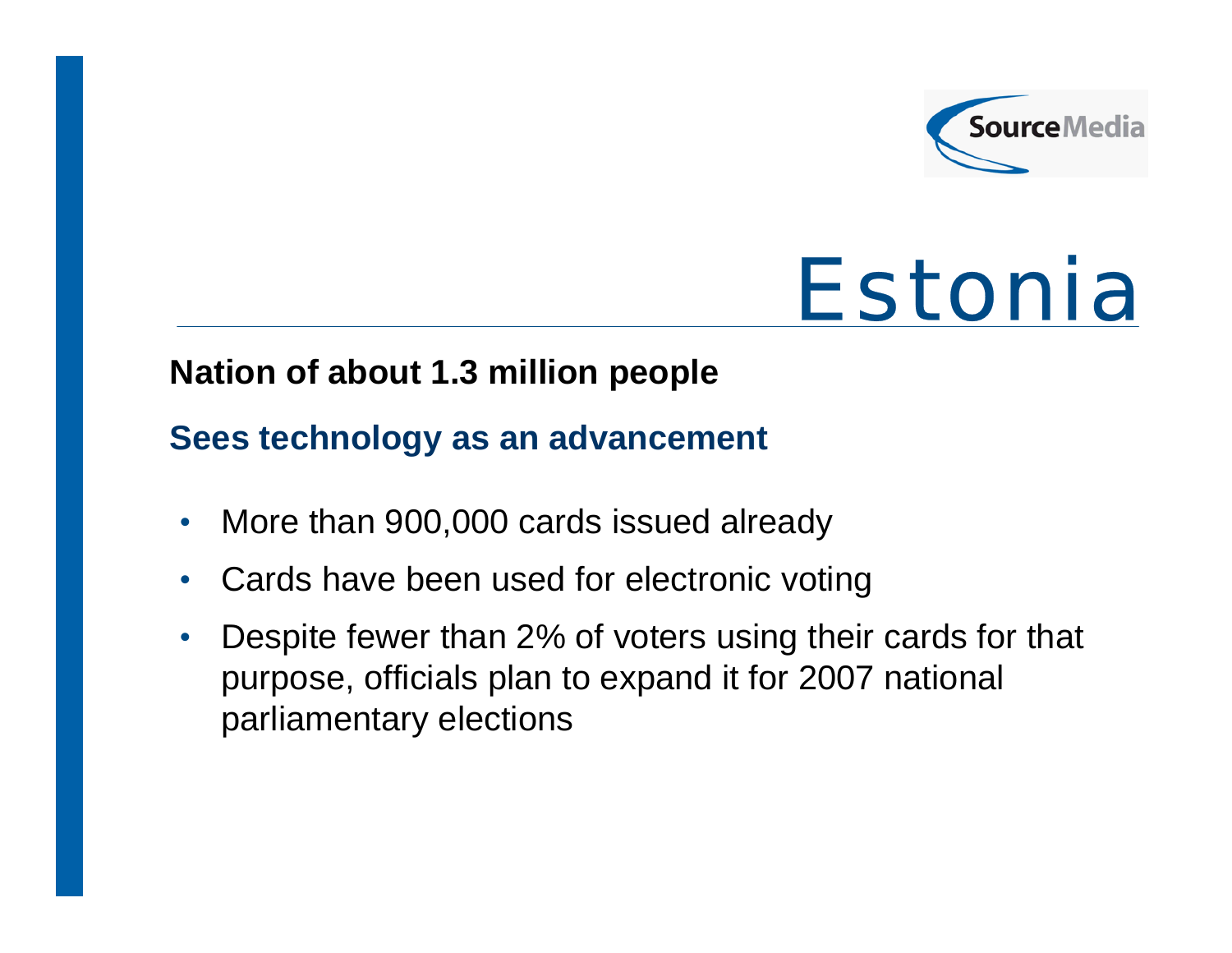

## Estonia

### **Nation of about 1.3 million people**

#### **Sees technology as an advancement**

- $\bullet$ More than 900,000 cards issued already
- $\bullet$ Cards have been used for electronic voting
- $\bullet$  Despite fewer than 2% of voters using their cards for that purpose, officials plan to expand it for 2007 national parliamentary elections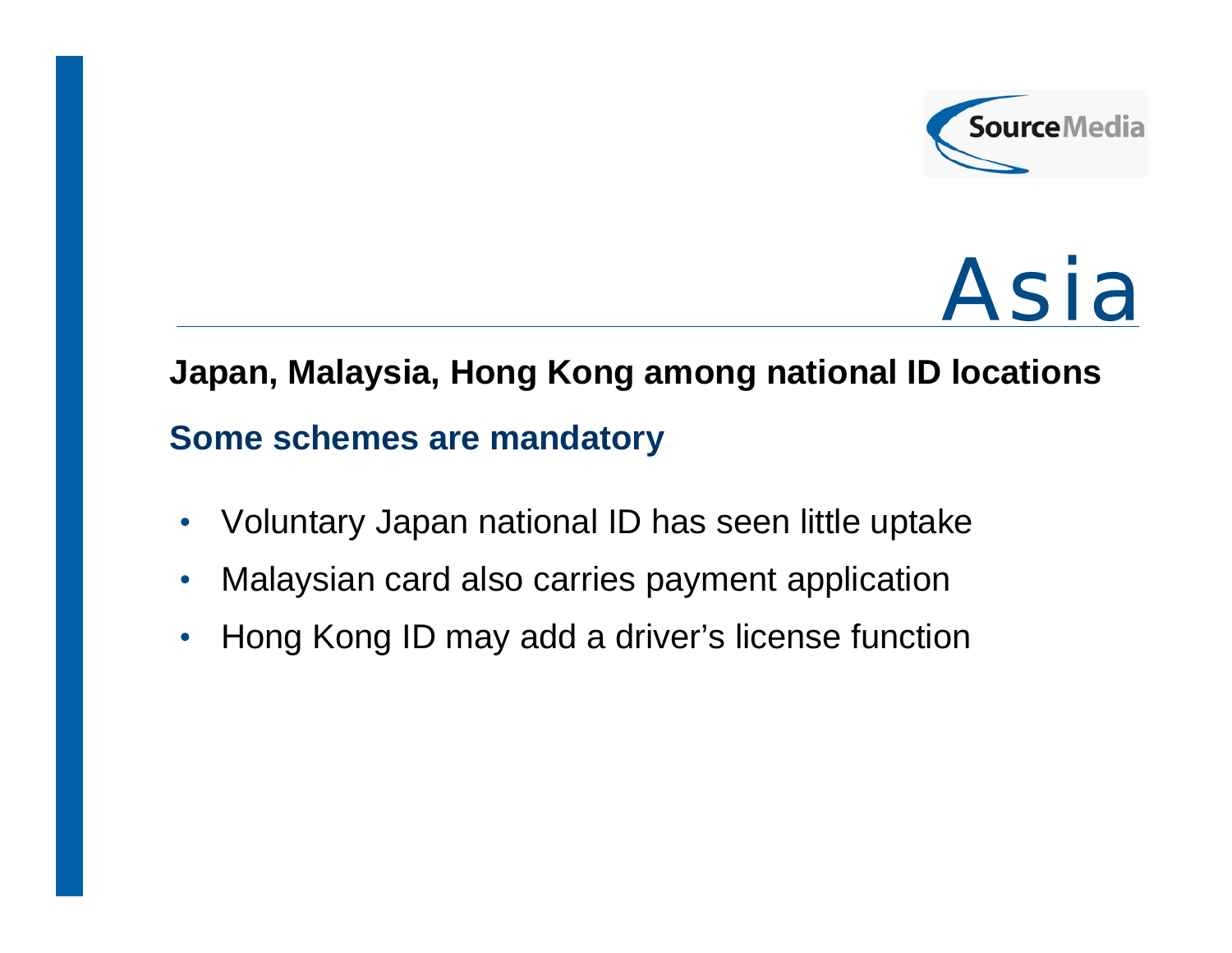



### **Japan, Malaysia, Hong Kong among national ID locations**

#### **Some schemes are mandatory**

- $\bullet$ Voluntary Japan national ID has seen little uptake
- $\bullet$ Malaysian card also carries payment application
- $\bullet$ Hong Kong ID may add a driver's license function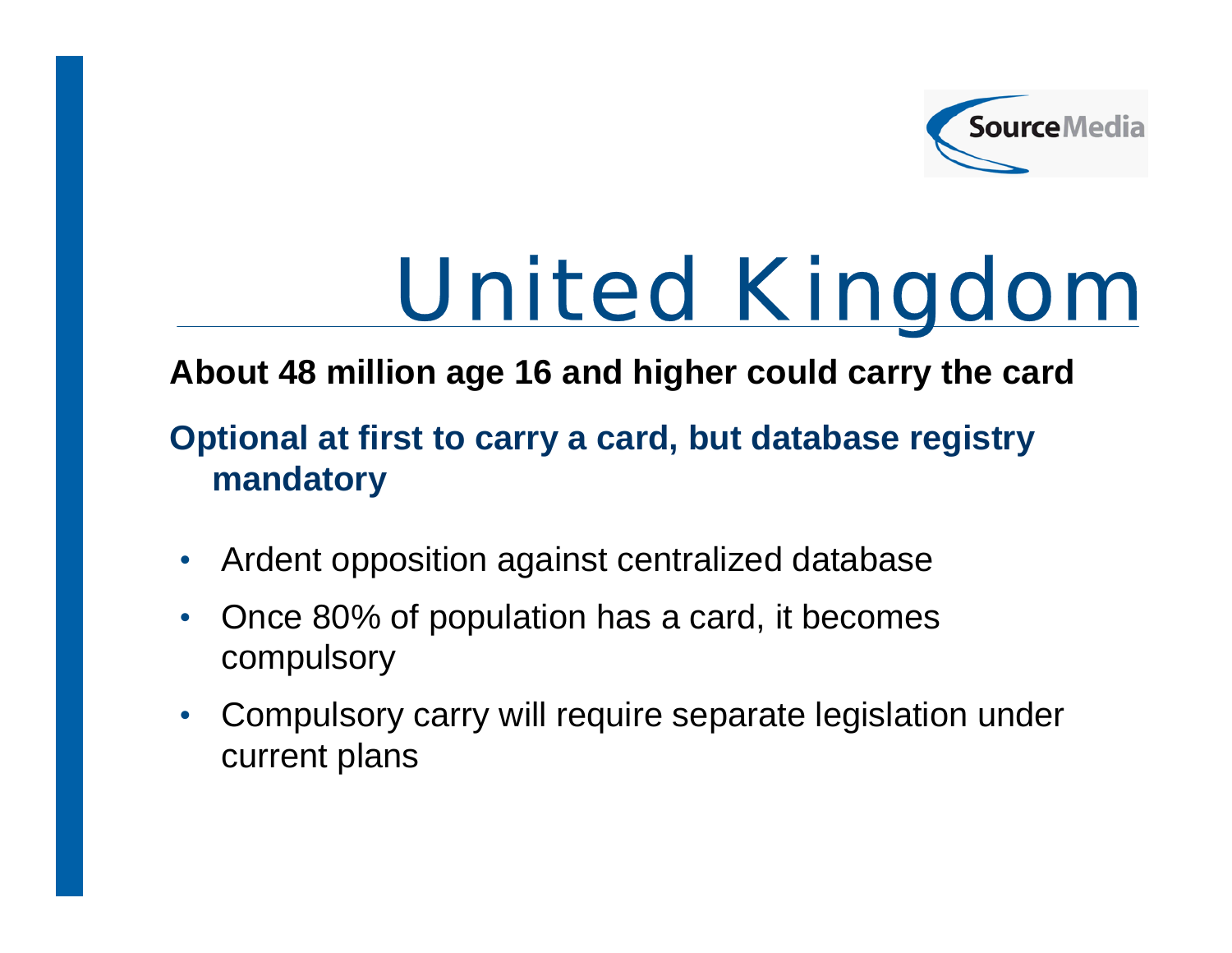

# United Kingdom

## **About 48 million age 16 and higher could carry the card**

## **Optional at first to carry a card, but database registry mandatory**

- $\bullet$ Ardent opposition against centralized database
- $\bullet$  Once 80% of population has a card, it becomes compulsory
- $\bullet$  Compulsory carry will require separate legislation under current plans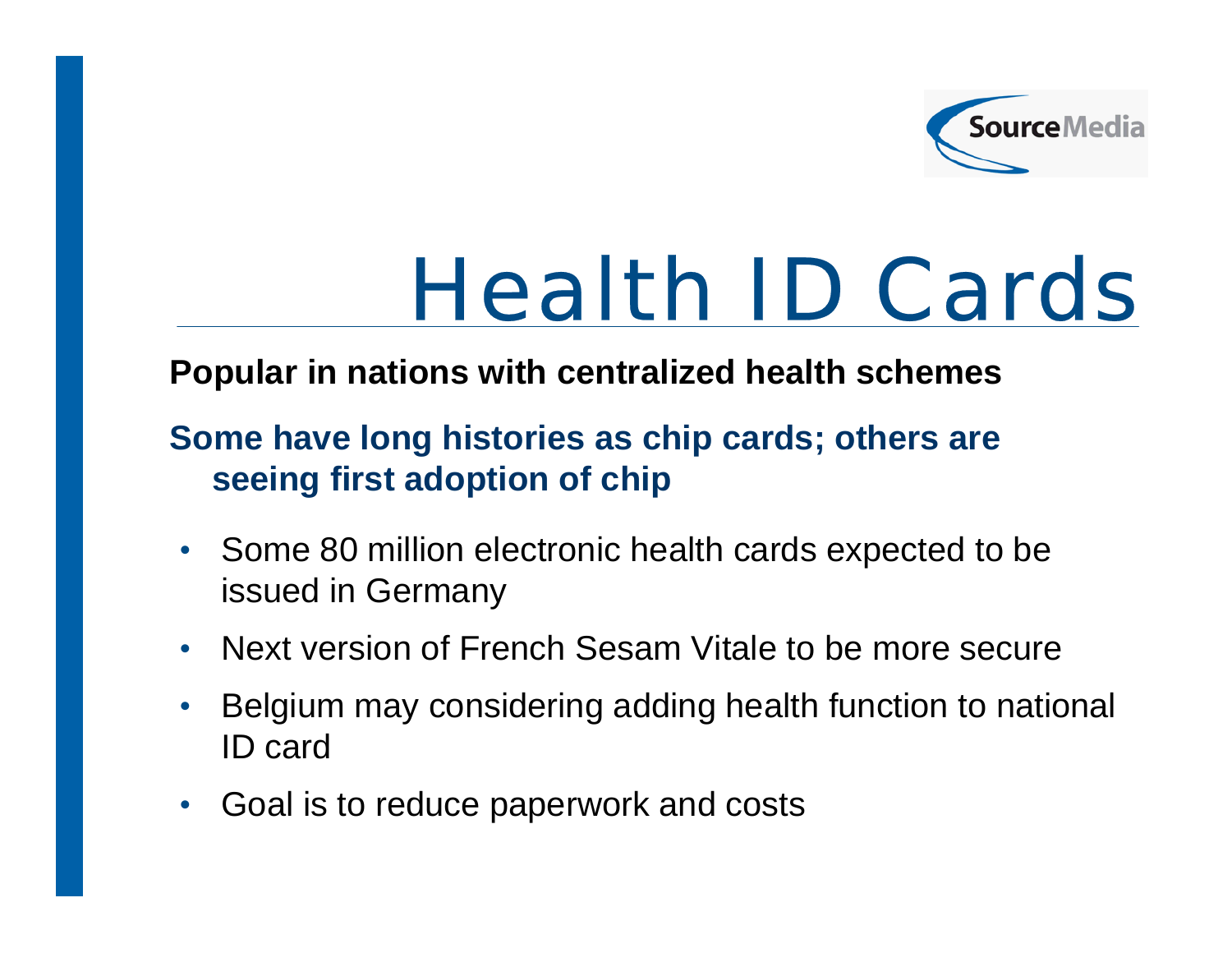

## Health ID Cards

### **Popular in nations with centralized health schemes**

## **Some have long histories as chip cards; others are seeing first adoption of chip**

- Some 80 million electronic health cards expected to be issued in Germany
- $\bullet$ • Next version of French Sesam Vitale to be more secure
- $\bullet$  Belgium may considering adding health function to national ID card
- $\bullet$ Goal is to reduce paperwork and costs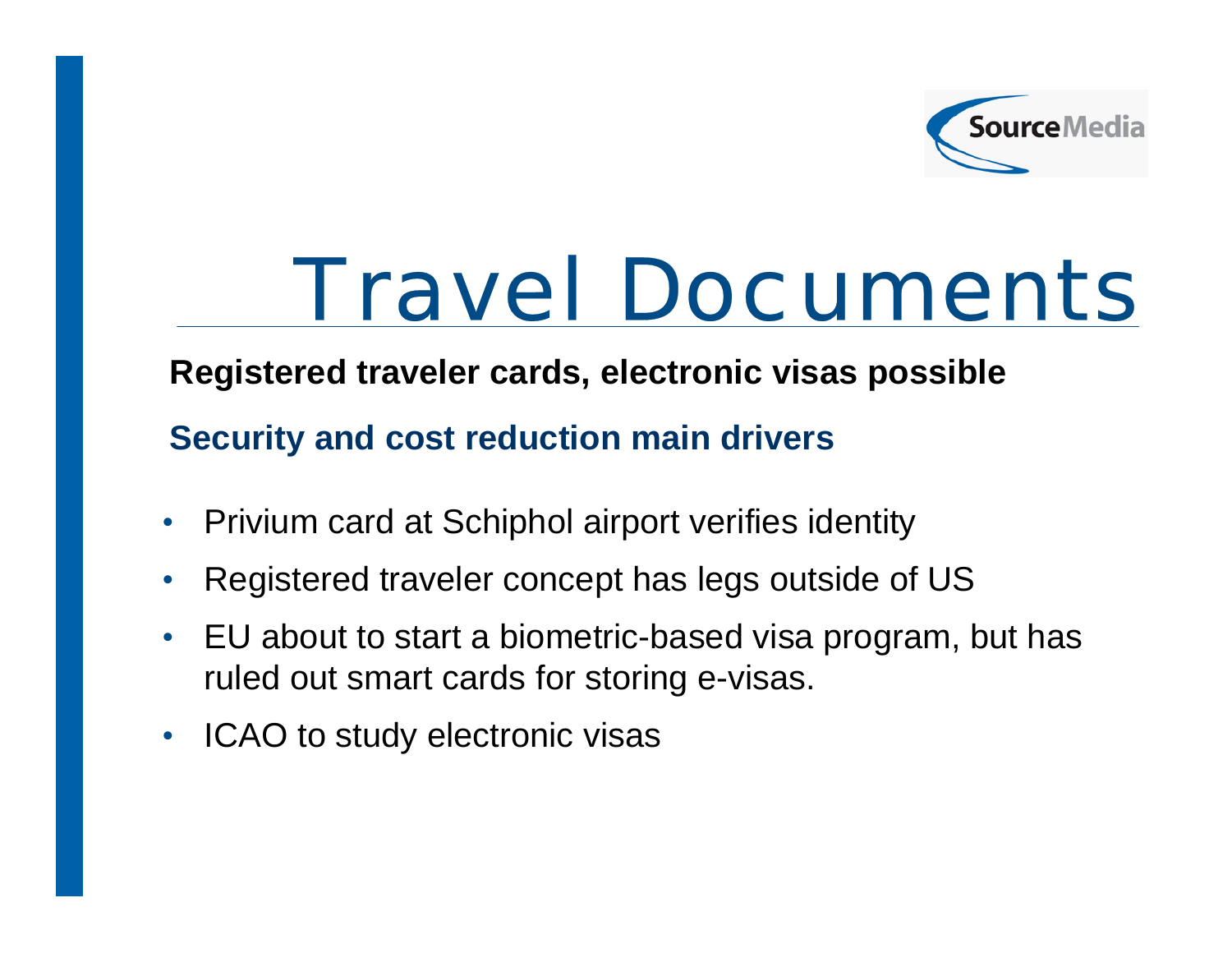

## Travel Documents

#### **Registered traveler cards, electronic visas possible**

**Security and cost reduction main drivers**

- •Privium card at Schiphol airport verifies identity
- $\bullet$ Registered traveler concept has legs outside of US
- • EU about to start a biometric-based visa program, but has ruled out smart cards for storing e-visas.
- ICAO to study electronic visas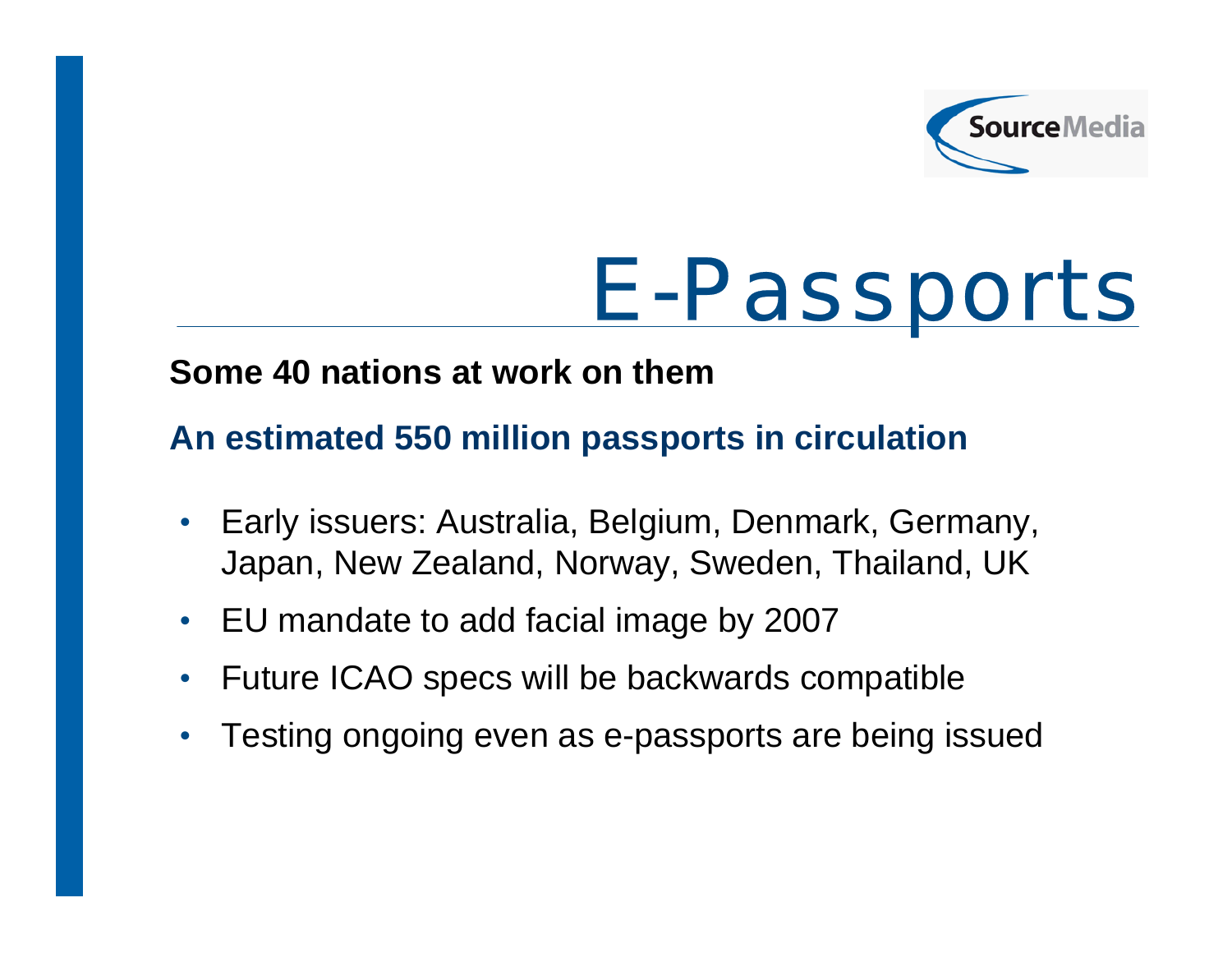

# E-Passports

#### **Some 40 nations at work on them**

### **An estimated 550 million passports in circulation**

- $\bullet$  Early issuers: Australia, Belgium, Denmark, Germany, Japan, New Zealand, Norway, Sweden, Thailand, UK
- $\bullet$ EU mandate to add facial image by 2007
- $\bullet$ Future ICAO specs will be backwards compatible
- $\bullet$ Testing ongoing even as e-passports are being issued